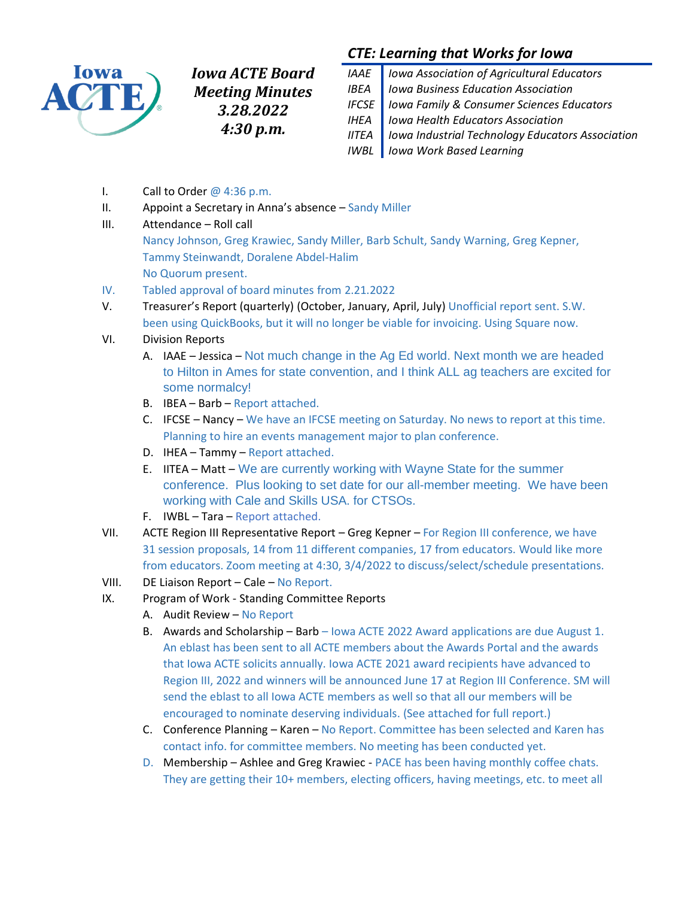

*Iowa ACTE Board Meeting Minutes 3.28.2022 4:30 p.m.*

# *CTE: Learning that Works for Iowa*

- *IAAE Iowa Association of Agricultural Educators IBEA Iowa Business Education Association IFCSE Iowa Family & Consumer Sciences Educators IHEA Iowa Health Educators Association IITEA Iowa Industrial Technology Educators Association IWBL Iowa Work Based Learning*
- I. Call to Order  $@$  4:36 p.m.
- II. Appoint a Secretary in Anna's absence Sandy Miller
- III. Attendance Roll call

Nancy Johnson, Greg Krawiec, Sandy Miller, Barb Schult, Sandy Warning, Greg Kepner, Tammy Steinwandt, Doralene Abdel-Halim No Quorum present.

- IV. Tabled approval of board minutes from 2.21.2022
- V. Treasurer's Report (quarterly) (October, January, April, July) Unofficial report sent. S.W. been using QuickBooks, but it will no longer be viable for invoicing. Using Square now.
- VI. Division Reports
	- A. IAAE Jessica Not much change in the Ag Ed world. Next month we are headed to Hilton in Ames for state convention, and I think ALL ag teachers are excited for some normalcy!
	- B. IBEA Barb Report attached.
	- C. IFCSE Nancy We have an IFCSE meeting on Saturday. No news to report at this time. Planning to hire an events management major to plan conference.
	- D. IHEA Tammy Report attached.
	- E. IITEA Matt We are currently working with Wayne State for the summer conference. Plus looking to set date for our all-member meeting. We have been working with Cale and Skills USA. for CTSOs.
	- F. IWBL Tara Report attached.
- VII. ACTE Region III Representative Report Greg Kepner For Region III conference, we have 31 session proposals, 14 from 11 different companies, 17 from educators. Would like more from educators. Zoom meeting at 4:30, 3/4/2022 to discuss/select/schedule presentations.
- VIII. DE Liaison Report Cale No Report.
- IX. Program of Work Standing Committee Reports
	- A. Audit Review No Report
	- B. Awards and Scholarship Barb Iowa ACTE 2022 Award applications are due August 1. An eblast has been sent to all ACTE members about the Awards Portal and the awards that Iowa ACTE solicits annually. Iowa ACTE 2021 award recipients have advanced to Region III, 2022 and winners will be announced June 17 at Region III Conference. SM will send the eblast to all Iowa ACTE members as well so that all our members will be encouraged to nominate deserving individuals. (See attached for full report.)
	- C. Conference Planning Karen No Report. Committee has been selected and Karen has contact info. for committee members. No meeting has been conducted yet.
	- D. Membership Ashlee and Greg Krawiec PACE has been having monthly coffee chats. They are getting their 10+ members, electing officers, having meetings, etc. to meet all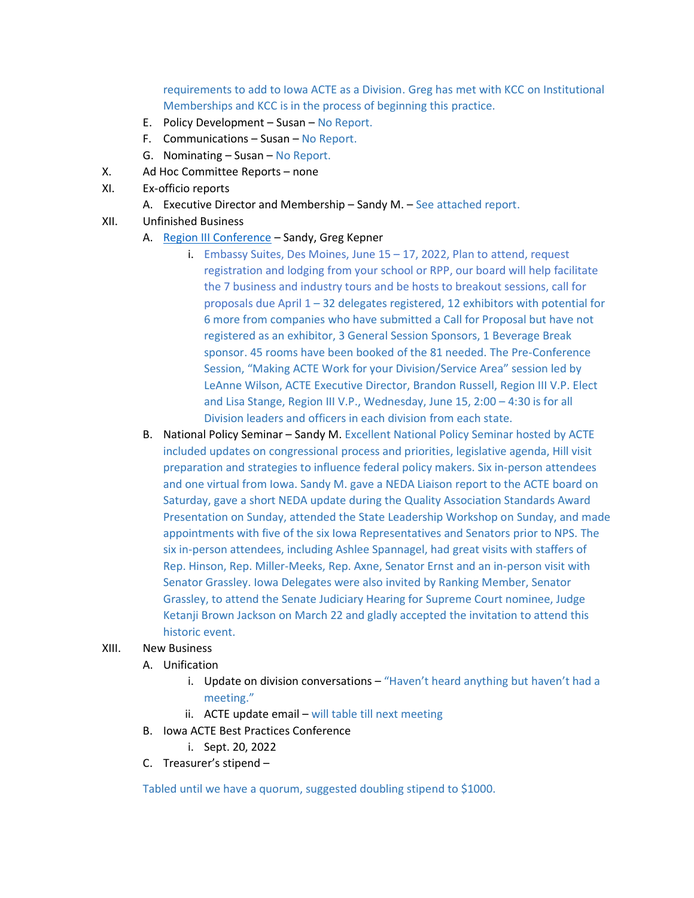requirements to add to Iowa ACTE as a Division. Greg has met with KCC on Institutional Memberships and KCC is in the process of beginning this practice.

- E. Policy Development Susan No Report.
- F. Communications Susan No Report.
- G. Nominating Susan No Report.
- X. Ad Hoc Committee Reports none
- XI. Ex-officio reports
	- A. Executive Director and Membership Sandy M. See attached report.
- XII. Unfinished Business
	- A. [Region III Conference](https://www.acteonline.org/region-page/region-iii-workshops-and-conferences/) Sandy, Greg Kepner
		- i. Embassy Suites, Des Moines, June  $15 17$ , 2022, Plan to attend, request registration and lodging from your school or RPP, our board will help facilitate the 7 business and industry tours and be hosts to breakout sessions, call for proposals due April  $1 - 32$  delegates registered, 12 exhibitors with potential for 6 more from companies who have submitted a Call for Proposal but have not registered as an exhibitor, 3 General Session Sponsors, 1 Beverage Break sponsor. 45 rooms have been booked of the 81 needed. The Pre-Conference Session, "Making ACTE Work for your Division/Service Area" session led by LeAnne Wilson, ACTE Executive Director, Brandon Russell, Region III V.P. Elect and Lisa Stange, Region III V.P., Wednesday, June 15, 2:00 – 4:30 is for all Division leaders and officers in each division from each state.
	- B. National Policy Seminar Sandy M. Excellent National Policy Seminar hosted by ACTE included updates on congressional process and priorities, legislative agenda, Hill visit preparation and strategies to influence federal policy makers. Six in-person attendees and one virtual from Iowa. Sandy M. gave a NEDA Liaison report to the ACTE board on Saturday, gave a short NEDA update during the Quality Association Standards Award Presentation on Sunday, attended the State Leadership Workshop on Sunday, and made appointments with five of the six Iowa Representatives and Senators prior to NPS. The six in-person attendees, including Ashlee Spannagel, had great visits with staffers of Rep. Hinson, Rep. Miller-Meeks, Rep. Axne, Senator Ernst and an in-person visit with Senator Grassley. Iowa Delegates were also invited by Ranking Member, Senator Grassley, to attend the Senate Judiciary Hearing for Supreme Court nominee, Judge Ketanji Brown Jackson on March 22 and gladly accepted the invitation to attend this historic event.

#### XIII. New Business

- A. Unification
	- i. Update on division conversations "Haven't heard anything but haven't had a meeting."
	- ii. ACTE update email  $-$  will table till next meeting
- B. Iowa ACTE Best Practices Conference
	- i. Sept. 20, 2022
- C. Treasurer's stipend –

Tabled until we have a quorum, suggested doubling stipend to \$1000.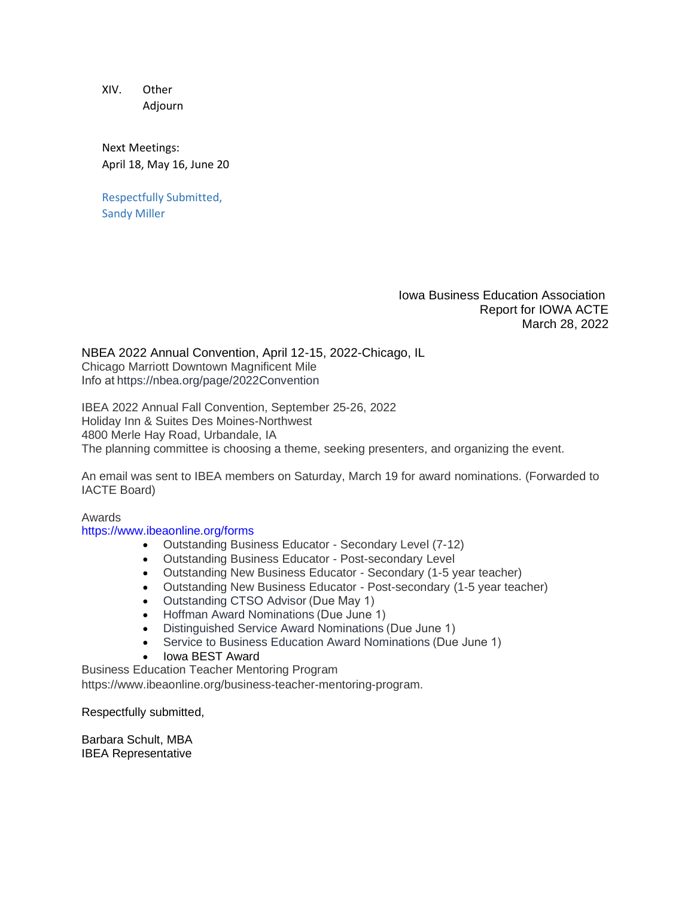XIV. Other Adjourn

Next Meetings: April 18, May 16, June 20

Respectfully Submitted, Sandy Miller

> Iowa Business Education Association Report for IOWA ACTE March 28, 2022

NBEA 2022 Annual Convention, April 12-15, 2022-Chicago, IL Chicago Marriott Downtown Magnificent Mile Info a[t https://nbea.org/page/2022Convention](https://nbea.org/page/2022Convention)

IBEA 2022 Annual Fall Convention, September 25-26, 2022 Holiday Inn & Suites Des Moines-Northwest 4800 Merle Hay Road, Urbandale, IA The planning committee is choosing a theme, seeking presenters, and organizing the event.

An email was sent to IBEA members on Saturday, March 19 for award nominations. (Forwarded to IACTE Board)

Awards

#### <https://www.ibeaonline.org/forms>

- Outstanding Business Educator Secondary Level (7-12)
- Outstanding Business Educator Post-secondary Level
- Outstanding New Business Educator Secondary (1-5 year teacher)
- Outstanding New Business Educator Post-secondary (1-5 year teacher)
- Outstanding CTSO Advisor (Due May 1)
- [Hoffman Award Nominations \(](https://www.ibeaonline.org/wp-content/uploads/2020/03/nomination.all_.pdf)Due June 1)
- [Distinguished Service Award Nominations \(](https://www.ibeaonline.org/wp-content/uploads/2020/03/distinguished.pdf)Due June 1)
- Service to Business Education Award Nominations (Due June 1)
- Iowa BEST Award

Business Education Teacher Mentoring Program

https://www.ibeaonline.org/business-teacher-mentoring-program.

Respectfully submitted,

Barbara Schult, MBA IBEA Representative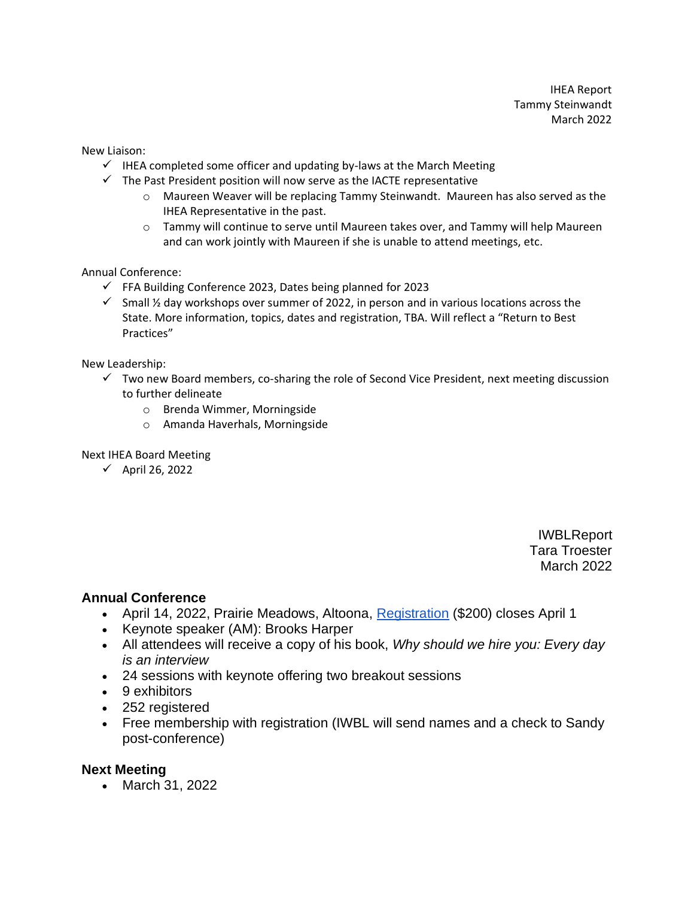IHEA Report Tammy Steinwandt March 2022

New Liaison:

- $\checkmark$  IHEA completed some officer and updating by-laws at the March Meeting
- $\checkmark$  The Past President position will now serve as the IACTE representative
	- o Maureen Weaver will be replacing Tammy Steinwandt. Maureen has also served as the IHEA Representative in the past.
	- $\circ$  Tammy will continue to serve until Maureen takes over, and Tammy will help Maureen and can work jointly with Maureen if she is unable to attend meetings, etc.

Annual Conference:

- $\checkmark$  FFA Building Conference 2023, Dates being planned for 2023
- $\checkmark$  Small ½ day workshops over summer of 2022, in person and in various locations across the State. More information, topics, dates and registration, TBA. Will reflect a "Return to Best Practices"

New Leadership:

- $\checkmark$  Two new Board members, co-sharing the role of Second Vice President, next meeting discussion to further delineate
	- o Brenda Wimmer, Morningside
	- o Amanda Haverhals, Morningside

#### Next IHEA Board Meeting

✓ April 26, 2022

IWBLReport Tara Troester March 2022

# **Annual Conference**

- April 14, 2022, Prairie Meadows, Altoona, [Registration](http://www.iowawbl.org/pd/) (\$200) closes April 1
- Keynote speaker (AM): Brooks Harper
- All attendees will receive a copy of his book, *Why should we hire you: Every day is an interview*
- 24 sessions with keynote offering two breakout sessions
- 9 exhibitors
- 252 registered
- Free membership with registration (IWBL will send names and a check to Sandy post-conference)

# **Next Meeting**

• March 31, 2022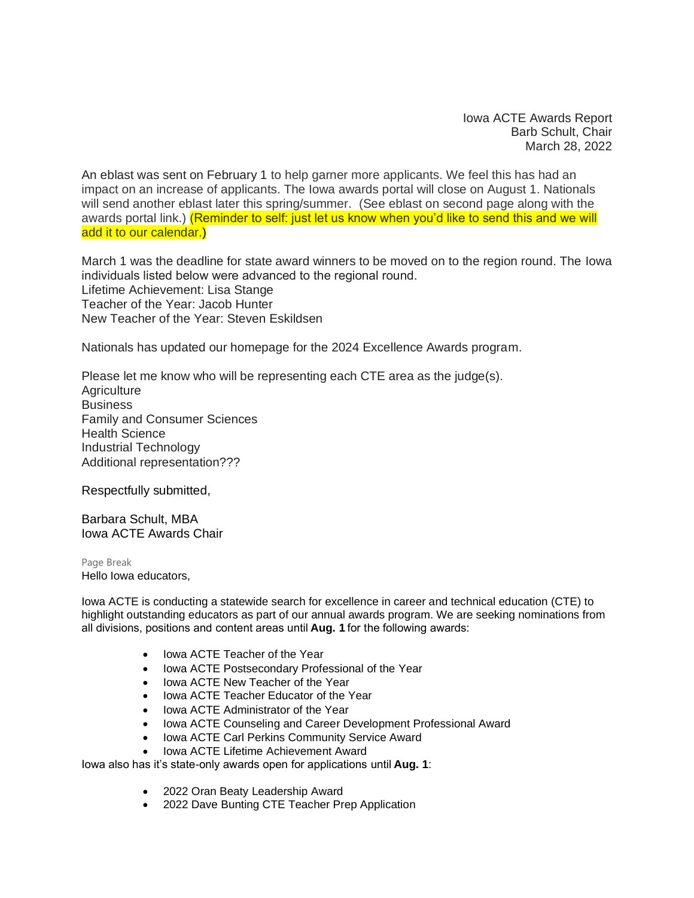Iowa ACTE Awards Report Barb Schult, Chair March 28, 2022

An eblast was sent on February 1 to help garner more applicants. We feel this has had an impact on an increase of applicants. The Iowa awards portal will close on August 1. Nationals will send another eblast later this spring/summer. (See eblast on second page along with the awards portal link.) (Reminder to self: just let us know when you'd like to send this and we will add it to our calendar.)

March 1 was the deadline for state award winners to be moved on to the region round. The Iowa individuals listed below were advanced to the regional round.  Lifetime Achievement: Lisa Stange Teacher of the Year: Jacob Hunter New Teacher of the Year: Steven Eskildsen

Nationals has updated our homepage for the 2024 Excellence Awards program.

Please let me know who will be representing each CTE area as the judge(s). **Agriculture Business** Family and Consumer Sciences Health Science Industrial Technology Additional representation???

Respectfully submitted,

Barbara Schult, MBA Iowa ACTE Awards Chair

Page Break Hello Iowa educators,

Iowa ACTE is conducting a statewide search for excellence in career and technical education (CTE) to highlight outstanding educators as part of our annual awards program. We are seeking nominations from all divisions, positions and content areas until **Aug. 1** for the following awards:

- Iowa ACTE Teacher of the Year
- Iowa ACTE Postsecondary Professional of the Year
- Iowa ACTE New Teacher of the Year
- Iowa ACTE Teacher Educator of the Year
- Iowa ACTE Administrator of the Year
- Iowa ACTE Counseling and Career Development Professional Award
- Iowa ACTE Carl Perkins Community Service Award
- Iowa ACTE Lifetime Achievement Award

Iowa also has it's state-only awards open for applications until **Aug. 1**:

- 2022 Oran Beaty Leadership Award
- 2022 Dave Bunting CTE Teacher Prep Application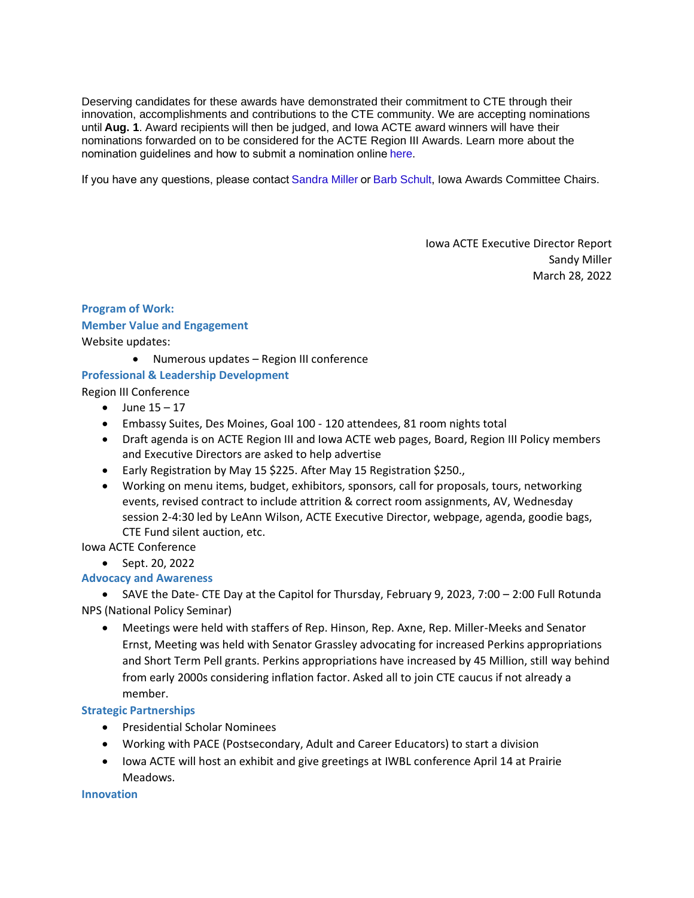Deserving candidates for these awards have demonstrated their commitment to CTE through their innovation, accomplishments and contributions to the CTE community. We are accepting nominations until **Aug. 1**. Award recipients will then be judged, and Iowa ACTE award winners will have their nominations forwarded on to be considered for the ACTE Region III Awards. Learn more about the nomination guidelines and how to submit a nomination online[here.](https://nam02.safelinks.protection.outlook.com/?url=http%3A%2F%2Facte.informz.net%2Fz%2FcjUucD9taT04NjIyNTk3JnA9MSZ1PTkxODIxODY0MyZsaT03NDg3MDM3Mg%2Findex.html&data=04%7C01%7Cbarbara.schult%40linnmar.k12.ia.us%7Ceb8e2af091eb40ac90d708d9e582e7c7%7Cc45d64432b0c41d38b11963ef5cfbeb3%7C1%7C0%7C637793172677878771%7CUnknown%7CTWFpbGZsb3d8eyJWIjoiMC4wLjAwMDAiLCJQIjoiV2luMzIiLCJBTiI6Ik1haWwiLCJXVCI6Mn0%3D%7C3000&sdata=1y%2BEVGnY3e93EGgUnkKK9S%2FXBAP3737IxTb5TxYIdI4%3D&reserved=0)

If you have any questions, please contac[t Sandra Miller o](mailto:sandymiller1414@gmail.com?subject=Awards)[r Barb Schult,](mailto:barbara.schult@linnmar.k12.ia.us?subject=Awards) Iowa Awards Committee Chairs.

Iowa ACTE Executive Director Report Sandy Miller March 28, 2022

# **Program of Work: Member Value and Engagement** Website updates:

• Numerous updates – Region III conference

# **Professional & Leadership Development**

Region III Conference

- June  $15 17$
- Embassy Suites, Des Moines, Goal 100 120 attendees, 81 room nights total
- Draft agenda is on ACTE Region III and Iowa ACTE web pages, Board, Region III Policy members and Executive Directors are asked to help advertise
- Early Registration by May 15 \$225. After May 15 Registration \$250.,
- Working on menu items, budget, exhibitors, sponsors, call for proposals, tours, networking events, revised contract to include attrition & correct room assignments, AV, Wednesday session 2-4:30 led by LeAnn Wilson, ACTE Executive Director, webpage, agenda, goodie bags, CTE Fund silent auction, etc.

#### Iowa ACTE Conference

• Sept. 20, 2022

# **Advocacy and Awareness**

• SAVE the Date- CTE Day at the Capitol for Thursday, February 9, 2023, 7:00 – 2:00 Full Rotunda NPS (National Policy Seminar)

• Meetings were held with staffers of Rep. Hinson, Rep. Axne, Rep. Miller-Meeks and Senator Ernst, Meeting was held with Senator Grassley advocating for increased Perkins appropriations and Short Term Pell grants. Perkins appropriations have increased by 45 Million, still way behind from early 2000s considering inflation factor. Asked all to join CTE caucus if not already a member.

#### **Strategic Partnerships**

- Presidential Scholar Nominees
- Working with PACE (Postsecondary, Adult and Career Educators) to start a division
- Iowa ACTE will host an exhibit and give greetings at IWBL conference April 14 at Prairie Meadows.

**Innovation**